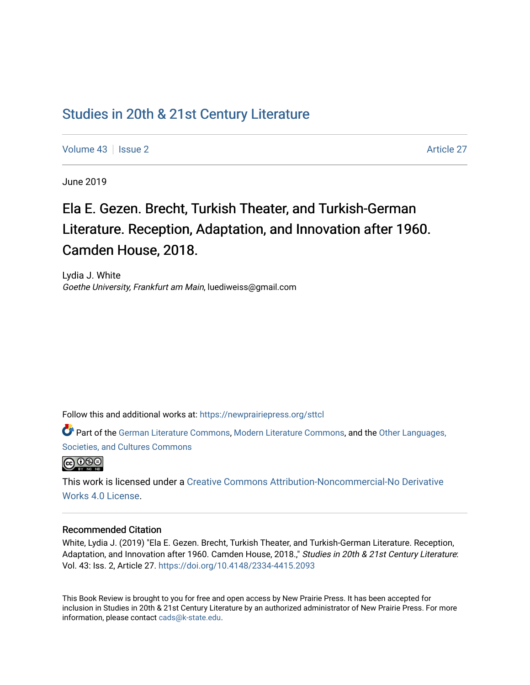## [Studies in 20th & 21st Century Literature](https://newprairiepress.org/sttcl)

[Volume 43](https://newprairiepress.org/sttcl/vol43) | [Issue 2](https://newprairiepress.org/sttcl/vol43/iss2) Article 27

June 2019

# Ela E. Gezen. Brecht, Turkish Theater, and Turkish-German Literature. Reception, Adaptation, and Innovation after 1960. Camden House, 2018.

Lydia J. White Goethe University, Frankfurt am Main, luediweiss@gmail.com

Follow this and additional works at: [https://newprairiepress.org/sttcl](https://newprairiepress.org/sttcl?utm_source=newprairiepress.org%2Fsttcl%2Fvol43%2Fiss2%2F27&utm_medium=PDF&utm_campaign=PDFCoverPages) 

Part of the [German Literature Commons,](http://network.bepress.com/hgg/discipline/469?utm_source=newprairiepress.org%2Fsttcl%2Fvol43%2Fiss2%2F27&utm_medium=PDF&utm_campaign=PDFCoverPages) [Modern Literature Commons](http://network.bepress.com/hgg/discipline/1050?utm_source=newprairiepress.org%2Fsttcl%2Fvol43%2Fiss2%2F27&utm_medium=PDF&utm_campaign=PDFCoverPages), and the [Other Languages,](http://network.bepress.com/hgg/discipline/475?utm_source=newprairiepress.org%2Fsttcl%2Fvol43%2Fiss2%2F27&utm_medium=PDF&utm_campaign=PDFCoverPages)  [Societies, and Cultures Commons](http://network.bepress.com/hgg/discipline/475?utm_source=newprairiepress.org%2Fsttcl%2Fvol43%2Fiss2%2F27&utm_medium=PDF&utm_campaign=PDFCoverPages) 



This work is licensed under a [Creative Commons Attribution-Noncommercial-No Derivative](https://creativecommons.org/licenses/by-nc-nd/4.0/)  [Works 4.0 License](https://creativecommons.org/licenses/by-nc-nd/4.0/).

#### Recommended Citation

White, Lydia J. (2019) "Ela E. Gezen. Brecht, Turkish Theater, and Turkish-German Literature. Reception, Adaptation, and Innovation after 1960. Camden House, 2018.," Studies in 20th & 21st Century Literature: Vol. 43: Iss. 2, Article 27.<https://doi.org/10.4148/2334-4415.2093>

This Book Review is brought to you for free and open access by New Prairie Press. It has been accepted for inclusion in Studies in 20th & 21st Century Literature by an authorized administrator of New Prairie Press. For more information, please contact [cads@k-state.edu](mailto:cads@k-state.edu).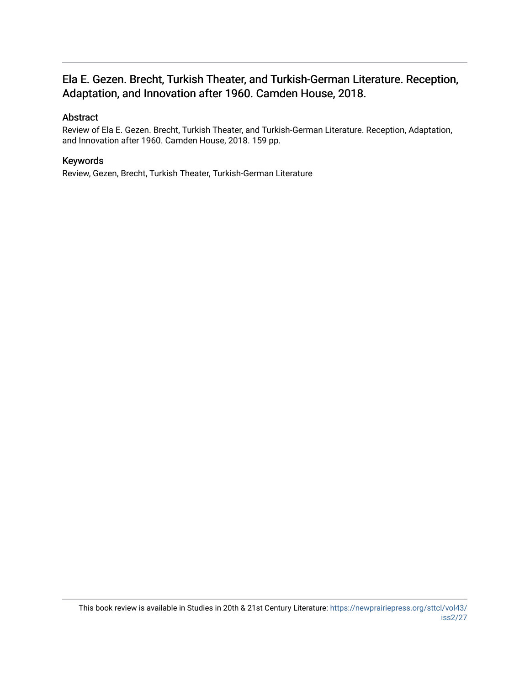## Ela E. Gezen. Brecht, Turkish Theater, and Turkish-German Literature. Reception, Adaptation, and Innovation after 1960. Camden House, 2018.

## Abstract

Review of Ela E. Gezen. Brecht, Turkish Theater, and Turkish-German Literature. Reception, Adaptation, and Innovation after 1960. Camden House, 2018. 159 pp.

### Keywords

Review, Gezen, Brecht, Turkish Theater, Turkish-German Literature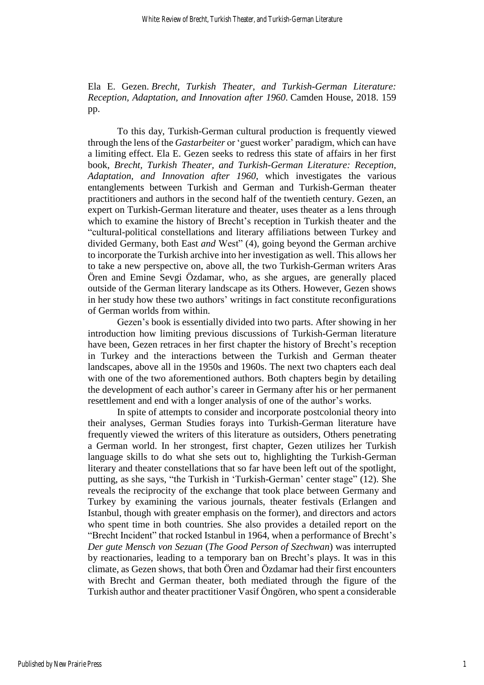Ela E. Gezen. *Brecht, Turkish Theater, and Turkish-German Literature: Reception, Adaptation, and Innovation after 1960*. Camden House, 2018. 159 pp.

To this day, Turkish-German cultural production is frequently viewed through the lens of the *Gastarbeiter* or 'guest worker' paradigm, which can have a limiting effect. Ela E. Gezen seeks to redress this state of affairs in her first book, *Brecht, Turkish Theater, and Turkish-German Literature: Reception, Adaptation, and Innovation after 1960*, which investigates the various entanglements between Turkish and German and Turkish-German theater practitioners and authors in the second half of the twentieth century. Gezen, an expert on Turkish-German literature and theater, uses theater as a lens through which to examine the history of Brecht's reception in Turkish theater and the "cultural-political constellations and literary affiliations between Turkey and divided Germany, both East *and* West" (4), going beyond the German archive to incorporate the Turkish archive into her investigation as well. This allows her to take a new perspective on, above all, the two Turkish-German writers Aras Ören and Emine Sevgi Özdamar, who, as she argues, are generally placed outside of the German literary landscape as its Others. However, Gezen shows in her study how these two authors' writings in fact constitute reconfigurations of German worlds from within.

Gezen's book is essentially divided into two parts. After showing in her introduction how limiting previous discussions of Turkish-German literature have been, Gezen retraces in her first chapter the history of Brecht's reception in Turkey and the interactions between the Turkish and German theater landscapes, above all in the 1950s and 1960s. The next two chapters each deal with one of the two aforementioned authors. Both chapters begin by detailing the development of each author's career in Germany after his or her permanent resettlement and end with a longer analysis of one of the author's works.

In spite of attempts to consider and incorporate postcolonial theory into their analyses, German Studies forays into Turkish-German literature have frequently viewed the writers of this literature as outsiders, Others penetrating a German world. In her strongest, first chapter, Gezen utilizes her Turkish language skills to do what she sets out to, highlighting the Turkish-German literary and theater constellations that so far have been left out of the spotlight, putting, as she says, "the Turkish in 'Turkish-German' center stage" (12). She reveals the reciprocity of the exchange that took place between Germany and Turkey by examining the various journals, theater festivals (Erlangen and Istanbul, though with greater emphasis on the former), and directors and actors who spent time in both countries. She also provides a detailed report on the "Brecht Incident" that rocked Istanbul in 1964, when a performance of Brecht's *Der gute Mensch von Sezuan* (*The Good Person of Szechwan*) was interrupted by reactionaries, leading to a temporary ban on Brecht's plays. It was in this climate, as Gezen shows, that both Ören and Özdamar had their first encounters with Brecht and German theater, both mediated through the figure of the Turkish author and theater practitioner Vasif Öngören, who spent a considerable